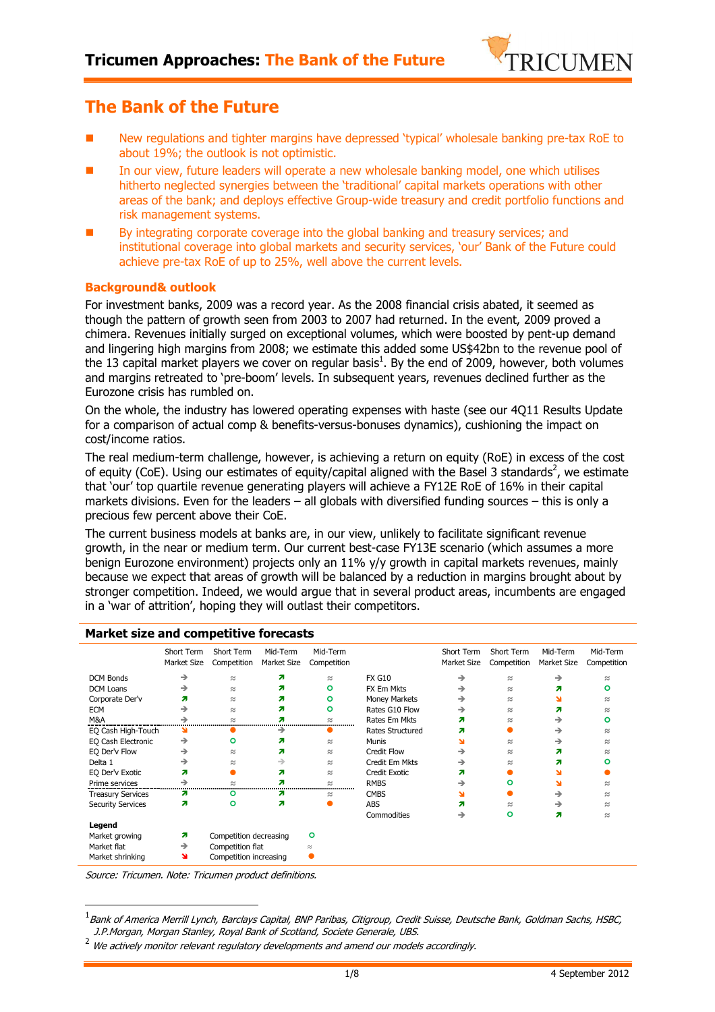

# **The Bank of the Future**

- New regulations and tighter margins have depressed 'typical' wholesale banking pre-tax RoE to about 19%; the outlook is not optimistic.
- In our view, future leaders will operate a new wholesale banking model, one which utilises hitherto neglected synergies between the 'traditional' capital markets operations with other areas of the bank; and deploys effective Group-wide treasury and credit portfolio functions and risk management systems.
- By integrating corporate coverage into the global banking and treasury services; and institutional coverage into global markets and security services, 'our' Bank of the Future could achieve pre-tax RoE of up to 25%, well above the current levels.

#### **Background& outlook**

For investment banks, 2009 was a record year. As the 2008 financial crisis abated, it seemed as though the pattern of growth seen from 2003 to 2007 had returned. In the event, 2009 proved a chimera. Revenues initially surged on exceptional volumes, which were boosted by pent-up demand and lingering high margins from 2008; we estimate this added some US\$42bn to the revenue pool of the 13 capital market players we cover on regular basis<sup>1</sup>. By the end of 2009, however, both volumes and margins retreated to 'pre-boom' levels. In subsequent years, revenues declined further as the Eurozone crisis has rumbled on.

On the whole, the industry has lowered operating expenses with haste (see our 4Q11 Results Update for a comparison of actual comp & benefits-versus-bonuses dynamics), cushioning the impact on cost/income ratios.

The real medium-term challenge, however, is achieving a return on equity (RoE) in excess of the cost of equity (CoE). Using our estimates of equity/capital aligned with the Basel 3 standards<sup>2</sup>, we estimate that 'our' top quartile revenue generating players will achieve a FY12E RoE of 16% in their capital markets divisions. Even for the leaders – all globals with diversified funding sources – this is only a precious few percent above their CoE.

The current business models at banks are, in our view, unlikely to facilitate significant revenue growth, in the near or medium term. Our current best-case FY13E scenario (which assumes a more benign Eurozone environment) projects only an 11% y/y growth in capital markets revenues, mainly because we expect that areas of growth will be balanced by a reduction in margins brought about by stronger competition. Indeed, we would argue that in several product areas, incumbents are engaged in a 'war of attrition', hoping they will outlast their competitors.

| PlanNet Size and competitive forceases |                           |                           |                         |                         |                         |                           |                           |                         |                         |
|----------------------------------------|---------------------------|---------------------------|-------------------------|-------------------------|-------------------------|---------------------------|---------------------------|-------------------------|-------------------------|
|                                        | Short Term<br>Market Size | Short Term<br>Competition | Mid-Term<br>Market Size | Mid-Term<br>Competition |                         | Short Term<br>Market Size | Short Term<br>Competition | Mid-Term<br>Market Size | Mid-Term<br>Competition |
| <b>DCM Bonds</b>                       | $\rightarrow$             | $\approx$                 | я                       | $\approx$               | <b>FX G10</b>           | →                         | $\approx$                 | $\rightarrow$           | $\approx$               |
| <b>DCM Loans</b>                       | →                         | $\approx$                 | 71                      | $\circ$                 | FX Em Mkts              | $\rightarrow$             | $\approx$                 | 21                      | ۰                       |
| Corporate Der'v                        | Я                         | $\approx$                 | я                       | ۰                       | Money Markets           | →                         | $\approx$                 |                         | $\approx$               |
| <b>ECM</b>                             | $\rightarrow$             | $\approx$                 | 21                      | $\circ$                 | Rates G10 Flow          | →                         | $\approx$                 | 71                      | $\approx$               |
| M&A                                    | →                         | $\approx$                 |                         | $\approx$               | Rates Em Mkts           | 71                        | $\approx$                 | →                       | O                       |
| EQ Cash High-Touch                     |                           |                           |                         |                         | <b>Rates Structured</b> | Я                         |                           | →                       | $\approx$               |
| EQ Cash Electronic                     | →                         | ٥                         | я                       | $\approx$               | <b>Munis</b>            | N                         | $\approx$                 | →                       | $\approx$               |
| EQ Der'v Flow                          | →                         | $\approx$                 | 71                      | $\approx$               | <b>Credit Flow</b>      | →                         | $\approx$                 | Л                       | $\approx$               |
| Delta 1                                | →                         | $\approx$                 | →                       | $\approx$               | Credit Em Mkts          | →                         | $\approx$                 | 21                      | ດ                       |
| EQ Der'v Exotic                        | Я                         |                           | я                       | $\approx$               | <b>Credit Exotic</b>    | 71                        |                           |                         |                         |
| Prime services                         | →                         |                           |                         | $\approx$               | <b>RMBS</b>             | →                         | ٥                         |                         | $\approx$               |
| <b>Treasury Services</b>               | 71                        | o                         | 71                      | $\approx$               | <b>CMBS</b>             | N                         |                           | →                       | $\approx$               |
| <b>Security Services</b>               | я                         | ٥                         | Я                       |                         | <b>ABS</b>              | я                         | $\approx$                 | →                       | $\approx$               |
|                                        |                           |                           |                         |                         | Commodities             | →                         | ۰                         | 71                      | $\approx$               |
| Legend                                 |                           |                           |                         |                         |                         |                           |                           |                         |                         |
| Market growing                         | Я                         | Competition decreasing    |                         | ۰                       |                         |                           |                           |                         |                         |
| Market flat                            | $\rightarrow$             | Competition flat          |                         | $\approx$               |                         |                           |                           |                         |                         |
| Market shrinking                       | ¥                         | Competition increasing    |                         |                         |                         |                           |                           |                         |                         |

#### **Market size and competitive forecasts**

Source: Tricumen. Note: Tricumen product definitions.

-

<sup>&</sup>lt;sup>1</sup> Bank of America Merrill Lynch, Barclays Capital, BNP Paribas, Citigroup, Credit Suisse, Deutsche Bank, Goldman Sachs, HSBC, J.P.Morgan, Morgan Stanley, Royal Bank of Scotland, Societe Generale, UBS.

<sup>2</sup> We actively monitor relevant regulatory developments and amend our models accordingly.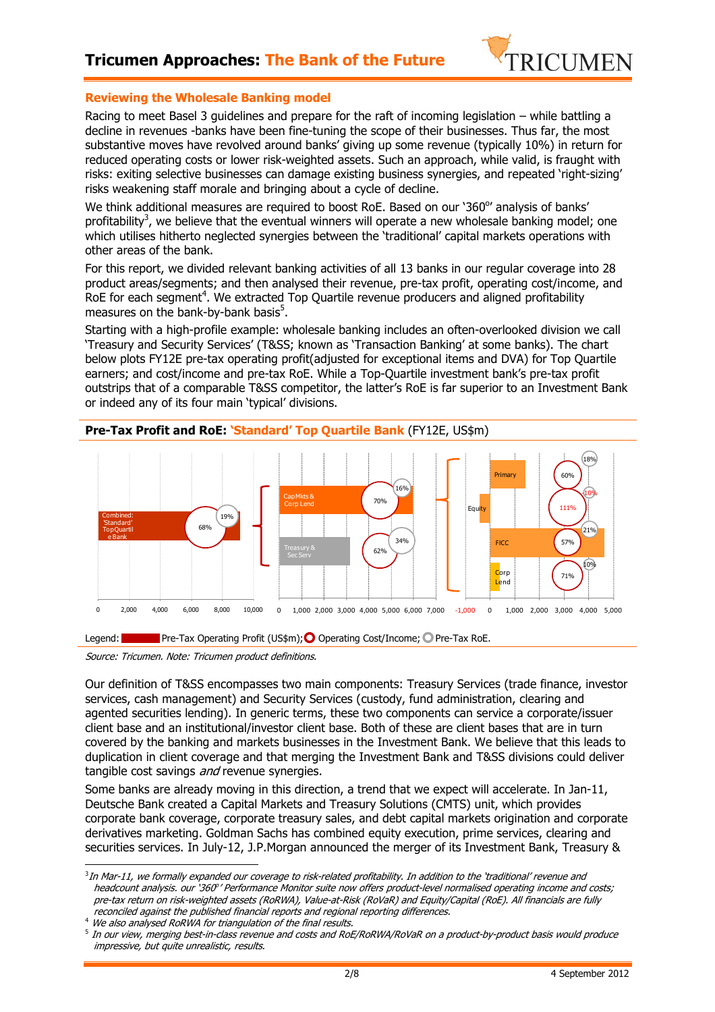

#### **Reviewing the Wholesale Banking model**

Racing to meet Basel 3 guidelines and prepare for the raft of incoming legislation – while battling a decline in revenues -banks have been fine-tuning the scope of their businesses. Thus far, the most substantive moves have revolved around banks' giving up some revenue (typically 10%) in return for reduced operating costs or lower risk-weighted assets. Such an approach, while valid, is fraught with risks: exiting selective businesses can damage existing business synergies, and repeated 'right-sizing' risks weakening staff morale and bringing about a cycle of decline.

We think additional measures are required to boost RoE. Based on our '360°' analysis of banks' profitability<sup>3</sup>, we believe that the eventual winners will operate a new wholesale banking model; one which utilises hitherto neglected synergies between the 'traditional' capital markets operations with other areas of the bank.

For this report, we divided relevant banking activities of all 13 banks in our regular coverage into 28 product areas/segments; and then analysed their revenue, pre-tax profit, operating cost/income, and RoE for each segment<sup>4</sup>. We extracted Top Quartile revenue producers and aligned profitability measures on the bank-by-bank basis<sup>5</sup>.

Starting with a high-profile example: wholesale banking includes an often-overlooked division we call 'Treasury and Security Services' (T&SS; known as 'Transaction Banking' at some banks). The chart below plots FY12E pre-tax operating profit(adjusted for exceptional items and DVA) for Top Quartile earners; and cost/income and pre-tax RoE. While a Top-Quartile investment bank's pre-tax profit outstrips that of a comparable T&SS competitor, the latter's RoE is far superior to an Investment Bank or indeed any of its four main 'typical' divisions.



**Pre-Tax Profit and RoE: 'Standard' Top Quartile Bank** (FY12E, US\$m)

Source: Tricumen. Note: Tricumen product definitions.

Our definition of T&SS encompasses two main components: Treasury Services (trade finance, investor services, cash management) and Security Services (custody, fund administration, clearing and agented securities lending). In generic terms, these two components can service a corporate/issuer client base and an institutional/investor client base. Both of these are client bases that are in turn covered by the banking and markets businesses in the Investment Bank. We believe that this leads to duplication in client coverage and that merging the Investment Bank and T&SS divisions could deliver tangible cost savings and revenue synergies.

Some banks are already moving in this direction, a trend that we expect will accelerate. In Jan-11, Deutsche Bank created a Capital Markets and Treasury Solutions (CMTS) unit, which provides corporate bank coverage, corporate treasury sales, and debt capital markets origination and corporate derivatives marketing. Goldman Sachs has combined equity execution, prime services, clearing and securities services. In July-12, J.P.Morgan announced the merger of its Investment Bank, Treasury &

<sup>4</sup> We also analysed RoRWA for triangulation of the final results.

l  $^3$ In Mar-11, we formally expanded our coverage to risk-related profitability. In addition to the 'traditional' revenue and headcount analysis. our '360° 'Performance Monitor suite now offers product-level normalised operating income and costs; pre-tax return on risk-weighted assets (RoRWA), Value-at-Risk (RoVaR) and Equity/Capital (RoE). All financials are fully reconciled against the published financial reports and regional reporting differences.

 $^5$  In our view, merging best-in-class revenue and costs and RoE/RoRWA/RoVaR on a product-by-product basis would produce impressive, but quite unrealistic, results.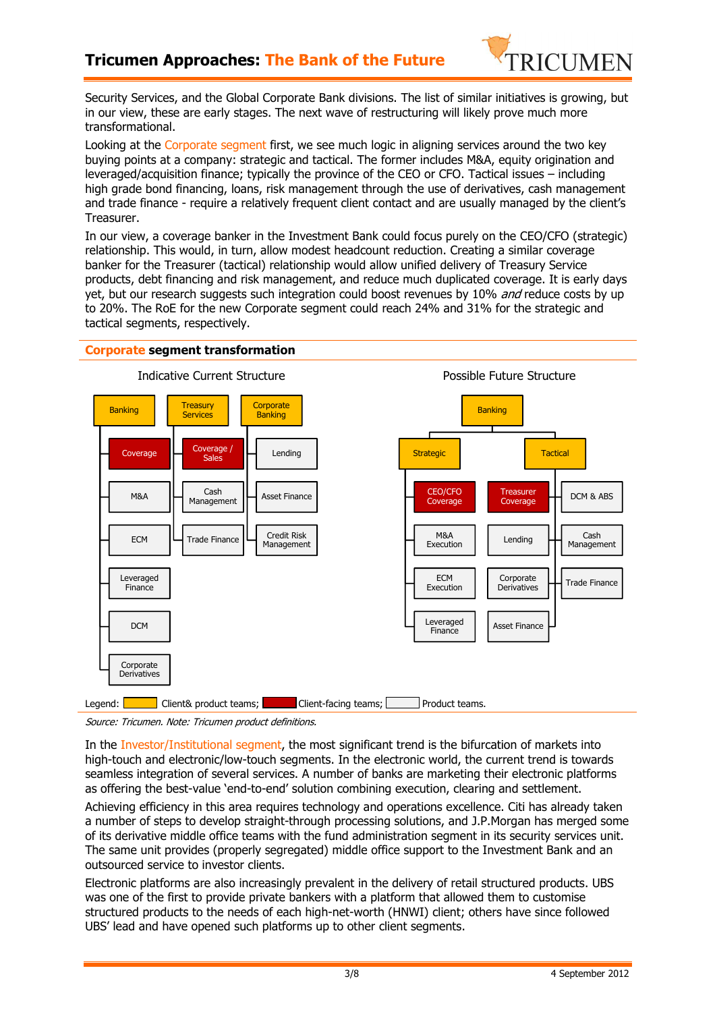

Security Services, and the Global Corporate Bank divisions. The list of similar initiatives is growing, but in our view, these are early stages. The next wave of restructuring will likely prove much more transformational.

Looking at the Corporate segment first, we see much logic in aligning services around the two key buying points at a company: strategic and tactical. The former includes M&A, equity origination and leveraged/acquisition finance; typically the province of the CEO or CFO. Tactical issues – including high grade bond financing, loans, risk management through the use of derivatives, cash management and trade finance - require a relatively frequent client contact and are usually managed by the client's Treasurer.

In our view, a coverage banker in the Investment Bank could focus purely on the CEO/CFO (strategic) relationship. This would, in turn, allow modest headcount reduction. Creating a similar coverage banker for the Treasurer (tactical) relationship would allow unified delivery of Treasury Service products, debt financing and risk management, and reduce much duplicated coverage. It is early days yet, but our research suggests such integration could boost revenues by 10% and reduce costs by up to 20%. The RoE for the new Corporate segment could reach 24% and 31% for the strategic and tactical segments, respectively.



Source: Tricumen. Note: Tricumen product definitions.

In the Investor/Institutional segment, the most significant trend is the bifurcation of markets into high-touch and electronic/low-touch segments. In the electronic world, the current trend is towards seamless integration of several services. A number of banks are marketing their electronic platforms as offering the best-value 'end-to-end' solution combining execution, clearing and settlement.

Achieving efficiency in this area requires technology and operations excellence. Citi has already taken a number of steps to develop straight-through processing solutions, and J.P.Morgan has merged some of its derivative middle office teams with the fund administration segment in its security services unit. The same unit provides (properly segregated) middle office support to the Investment Bank and an outsourced service to investor clients.

Electronic platforms are also increasingly prevalent in the delivery of retail structured products. UBS was one of the first to provide private bankers with a platform that allowed them to customise structured products to the needs of each high-net-worth (HNWI) client; others have since followed UBS' lead and have opened such platforms up to other client segments.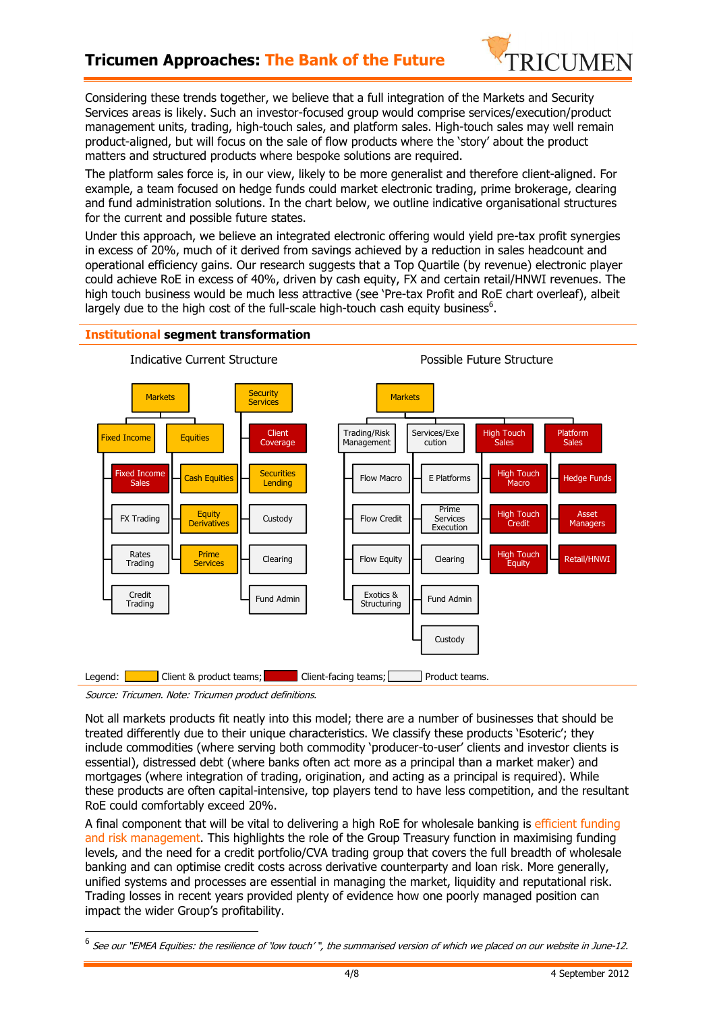# **Tricumen Approaches: The Bank of the Future**



Considering these trends together, we believe that a full integration of the Markets and Security Services areas is likely. Such an investor-focused group would comprise services/execution/product management units, trading, high-touch sales, and platform sales. High-touch sales may well remain product-aligned, but will focus on the sale of flow products where the 'story' about the product matters and structured products where bespoke solutions are required.

The platform sales force is, in our view, likely to be more generalist and therefore client-aligned. For example, a team focused on hedge funds could market electronic trading, prime brokerage, clearing and fund administration solutions. In the chart below, we outline indicative organisational structures for the current and possible future states.

Under this approach, we believe an integrated electronic offering would yield pre-tax profit synergies in excess of 20%, much of it derived from savings achieved by a reduction in sales headcount and operational efficiency gains. Our research suggests that a Top Quartile (by revenue) electronic player could achieve RoE in excess of 40%, driven by cash equity, FX and certain retail/HNWI revenues. The high touch business would be much less attractive (see 'Pre-tax Profit and RoE chart overleaf), albeit largely due to the high cost of the full-scale high-touch cash equity business<sup>6</sup>.

#### **Institutional segment transformation**



Source: Tricumen. Note: Tricumen product definitions.

-

Not all markets products fit neatly into this model; there are a number of businesses that should be treated differently due to their unique characteristics. We classify these products 'Esoteric'; they include commodities (where serving both commodity 'producer-to-user' clients and investor clients is essential), distressed debt (where banks often act more as a principal than a market maker) and mortgages (where integration of trading, origination, and acting as a principal is required). While these products are often capital-intensive, top players tend to have less competition, and the resultant RoE could comfortably exceed 20%.

A final component that will be vital to delivering a high RoE for wholesale banking is efficient funding and risk management. This highlights the role of the Group Treasury function in maximising funding levels, and the need for a credit portfolio/CVA trading group that covers the full breadth of wholesale banking and can optimise credit costs across derivative counterparty and loan risk. More generally, unified systems and processes are essential in managing the market, liquidity and reputational risk. Trading losses in recent years provided plenty of evidence how one poorly managed position can impact the wider Group's profitability.

<sup>&</sup>lt;sup>6</sup> See our "EMEA Equities: the resilience of 'low touch' ", the summarised version of which we placed on our website in June-12.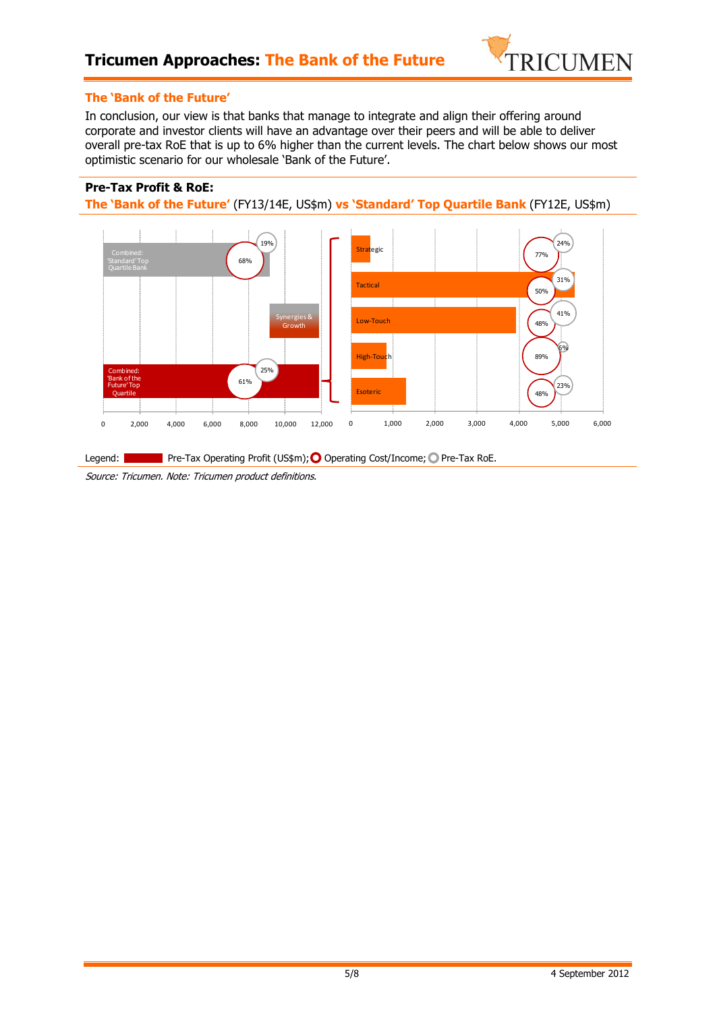

#### **The 'Bank of the Future'**

In conclusion, our view is that banks that manage to integrate and align their offering around corporate and investor clients will have an advantage over their peers and will be able to deliver overall pre-tax RoE that is up to 6% higher than the current levels. The chart below shows our most optimistic scenario for our wholesale 'Bank of the Future'.

### **Pre-Tax Profit & RoE:**

**The 'Bank of the Future'** (FY13/14E, US\$m) **vs 'Standard' Top Quartile Bank** (FY12E, US\$m)



Source: Tricumen. Note: Tricumen product definitions.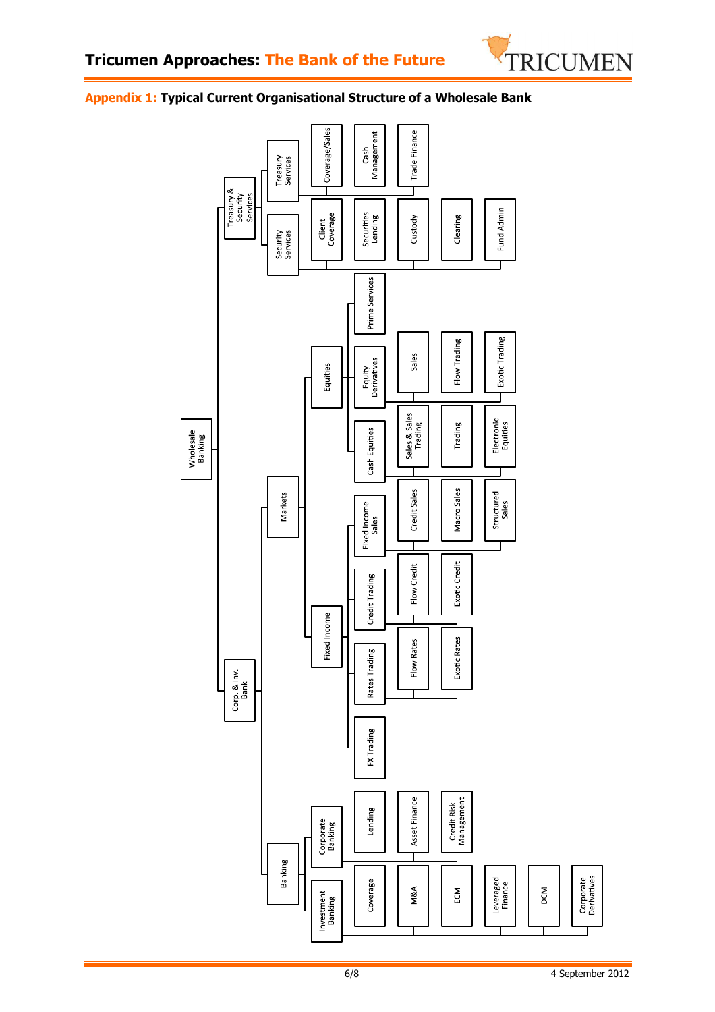

### **Appendix 1: Typical Current Organisational Structure of a Wholesale Bank**

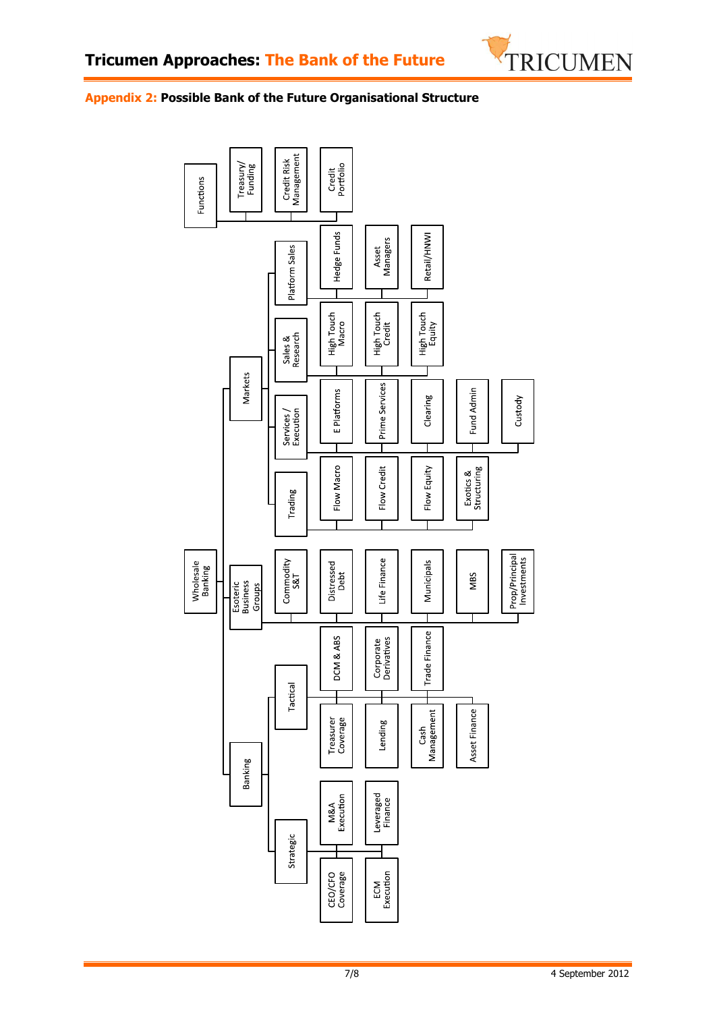

### **Appendix 2: Possible Bank of the Future Organisational Structure**